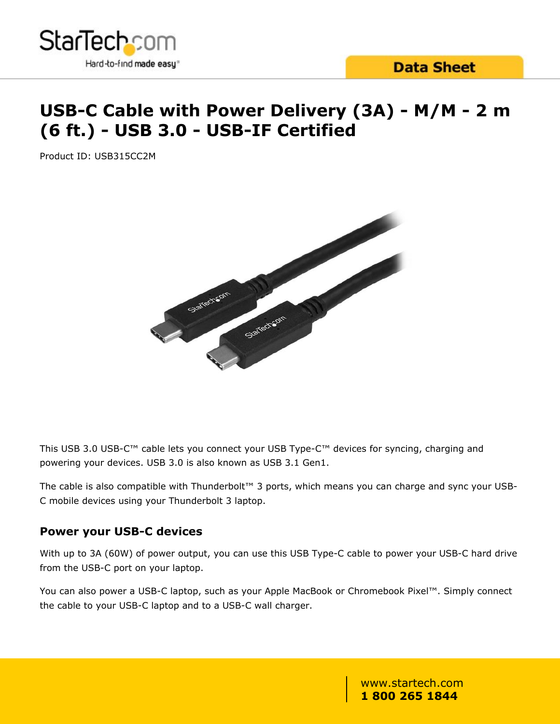

# **USB-C Cable with Power Delivery (3A) - M/M - 2 m (6 ft.) - USB 3.0 - USB-IF Certified**

Product ID: USB315CC2M



This USB 3.0 USB-C™ cable lets you connect your USB Type-C™ devices for syncing, charging and powering your devices. USB 3.0 is also known as USB 3.1 Gen1.

The cable is also compatible with Thunderbolt™ 3 ports, which means you can charge and sync your USB-C mobile devices using your Thunderbolt 3 laptop.

### **Power your USB-C devices**

With up to 3A (60W) of power output, you can use this USB Type-C cable to power your USB-C hard drive from the USB-C port on your laptop.

You can also power a USB-C laptop, such as your Apple MacBook or Chromebook Pixel™. Simply connect the cable to your USB-C laptop and to a USB-C wall charger.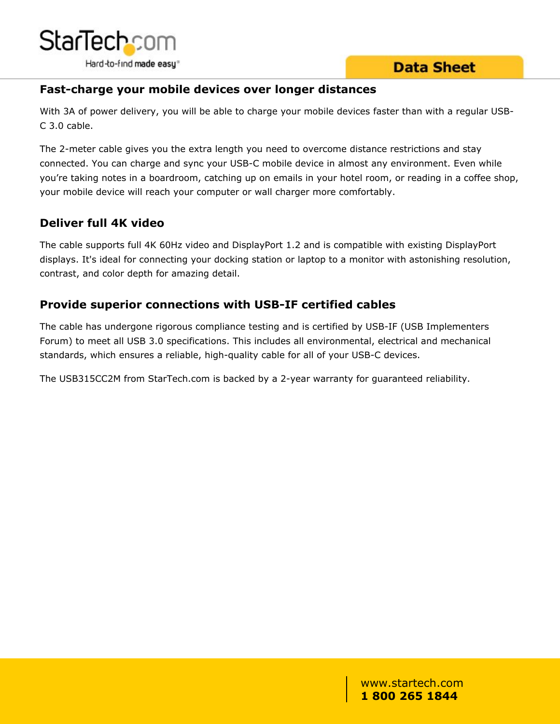

## **Fast-charge your mobile devices over longer distances**

With 3A of power delivery, you will be able to charge your mobile devices faster than with a regular USB-C 3.0 cable.

The 2-meter cable gives you the extra length you need to overcome distance restrictions and stay connected. You can charge and sync your USB-C mobile device in almost any environment. Even while you're taking notes in a boardroom, catching up on emails in your hotel room, or reading in a coffee shop, your mobile device will reach your computer or wall charger more comfortably.

## **Deliver full 4K video**

The cable supports full 4K 60Hz video and DisplayPort 1.2 and is compatible with existing DisplayPort displays. It's ideal for connecting your docking station or laptop to a monitor with astonishing resolution, contrast, and color depth for amazing detail.

## **Provide superior connections with USB-IF certified cables**

The cable has undergone rigorous compliance testing and is certified by USB-IF (USB Implementers Forum) to meet all USB 3.0 specifications. This includes all environmental, electrical and mechanical standards, which ensures a reliable, high-quality cable for all of your USB-C devices.

The USB315CC2M from StarTech.com is backed by a 2-year warranty for guaranteed reliability.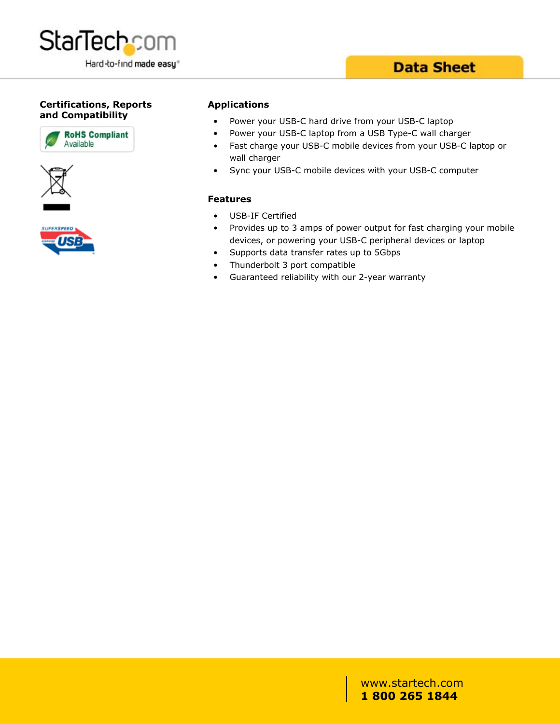

### **Certifications, Reports and Compatibility**







#### **Applications**

- Power your USB-C hard drive from your USB-C laptop
- Power your USB-C laptop from a USB Type-C wall charger
- Fast charge your USB-C mobile devices from your USB-C laptop or wall charger
- Sync your USB-C mobile devices with your USB-C computer

#### **Features**

- USB-IF Certified
- Provides up to 3 amps of power output for fast charging your mobile devices, or powering your USB-C peripheral devices or laptop
- Supports data transfer rates up to 5Gbps
- Thunderbolt 3 port compatible
- Guaranteed reliability with our 2-year warranty